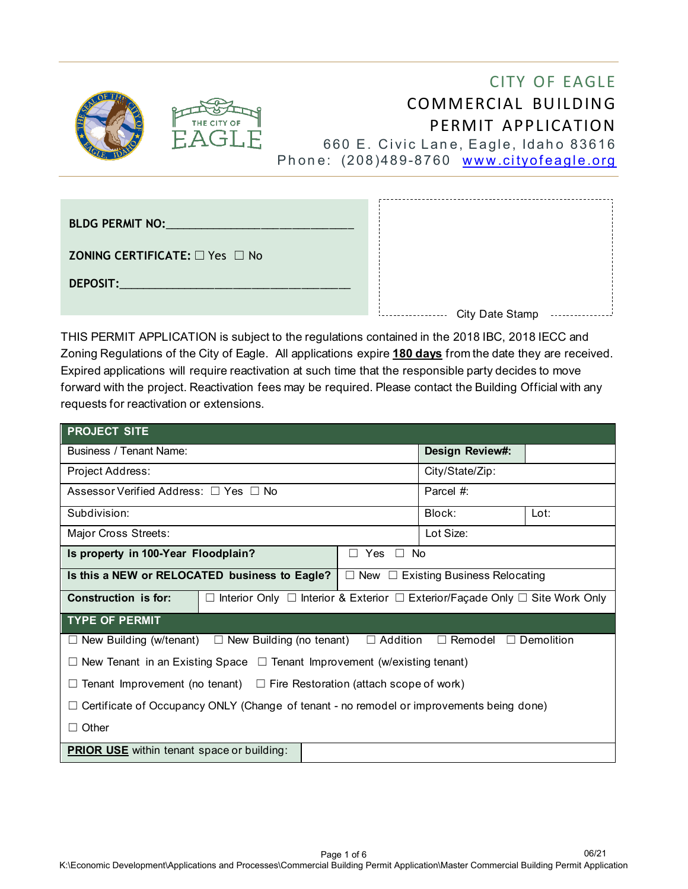



# CITY OF EAGLE COMMERCIAL BUILDING PERMIT APPLICATION 660 E. Civic Lane, Eagle, Idaho 83616

Phone: (208)489-8760 [www.cityofeagle.org](http://www.cityofeagle.org/)

| BLDG PERMIT NO: And the state of the state of the state of the state of the state of the state of the state of the state of the state of the state of the state of the state of the state of the state of the state of the sta |                 |  |
|--------------------------------------------------------------------------------------------------------------------------------------------------------------------------------------------------------------------------------|-----------------|--|
| <b>ZONING CERTIFICATE:</b> $\Box$ Yes $\Box$ No                                                                                                                                                                                |                 |  |
| DEPOSIT:<br>the control of the control of                                                                                                                                                                                      |                 |  |
|                                                                                                                                                                                                                                | City Date Stamp |  |

THIS PERMIT APPLICATION is subject to the regulations contained in the 2018 IBC, 2018 IECC and Zoning Regulations of the City of Eagle. All applications expire **180 days** from the date they are received. Expired applications will require reactivation at such time that the responsible party decides to move forward with the project. Reactivation fees may be required. Please contact the Building Official with any requests for reactivation or extensions.

| <b>PROJECT SITE</b>                                                                                                |                                                                             |  |                                                |      |  |
|--------------------------------------------------------------------------------------------------------------------|-----------------------------------------------------------------------------|--|------------------------------------------------|------|--|
| <b>Business / Tenant Name:</b>                                                                                     |                                                                             |  | Design Review#:                                |      |  |
| Project Address:                                                                                                   |                                                                             |  | City/State/Zip:                                |      |  |
| Assessor Verified Address: □ Yes □ No                                                                              |                                                                             |  | Parcel #:                                      |      |  |
| Subdivision:                                                                                                       |                                                                             |  | Block:                                         | Lot: |  |
| Major Cross Streets:                                                                                               |                                                                             |  | Lot Size:                                      |      |  |
| Is property in 100-Year Floodplain?<br>Yes<br>$\Box$ No<br>П                                                       |                                                                             |  |                                                |      |  |
| Is this a NEW or RELOCATED business to Eagle?                                                                      |                                                                             |  | $\Box$ New $\Box$ Existing Business Relocating |      |  |
| Construction is for:                                                                                               | Interior Only □ Interior & Exterior □ Exterior/Façade Only □ Site Work Only |  |                                                |      |  |
| <b>TYPE OF PERMIT</b>                                                                                              |                                                                             |  |                                                |      |  |
| $\Box$ Remodel $\Box$ Demolition<br>$\Box$ New Building (w/tenant) $\Box$ New Building (no tenant) $\Box$ Addition |                                                                             |  |                                                |      |  |
| $\Box$ New Tenant in an Existing Space $\Box$ Tenant Improvement (w/existing tenant)                               |                                                                             |  |                                                |      |  |
| Tenant Improvement (no tenant) $\square$ Fire Restoration (attach scope of work)                                   |                                                                             |  |                                                |      |  |
| Certificate of Occupancy ONLY (Change of tenant - no remodel or improvements being done)                           |                                                                             |  |                                                |      |  |
| Other                                                                                                              |                                                                             |  |                                                |      |  |
| <b>PRIOR USE</b> within tenant space or building:                                                                  |                                                                             |  |                                                |      |  |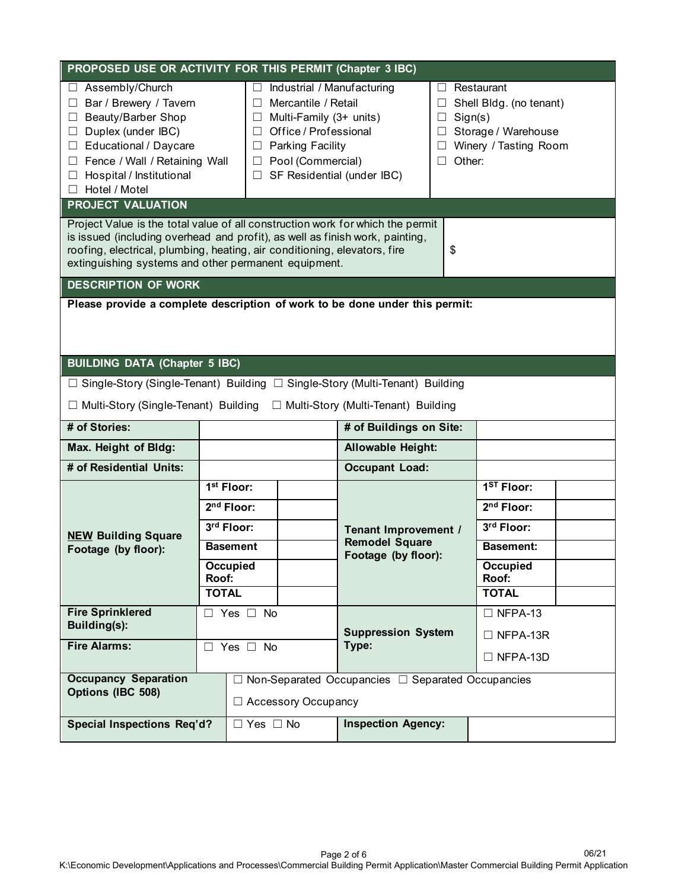| PROPOSED USE OR ACTIVITY FOR THIS PERMIT (Chapter 3 IBC)                                                                                                                                                                                                                                                                                                                                                                                                                                                                                                                                                                                                                                                 |                                                                                                              |                           |                                                                      |    |                                                                                                                      |
|----------------------------------------------------------------------------------------------------------------------------------------------------------------------------------------------------------------------------------------------------------------------------------------------------------------------------------------------------------------------------------------------------------------------------------------------------------------------------------------------------------------------------------------------------------------------------------------------------------------------------------------------------------------------------------------------------------|--------------------------------------------------------------------------------------------------------------|---------------------------|----------------------------------------------------------------------|----|----------------------------------------------------------------------------------------------------------------------|
| □ Assembly/Church<br>Industrial / Manufacturing<br>Restaurant<br>Bar / Brewery / Tavern<br>$\Box$ Mercantile / Retail<br>$\Box$<br>Shell Bldg. (no tenant)<br>□<br>Beauty/Barber Shop<br>$\Box$ Multi-Family (3+ units)<br>Sign(s)<br>$\Box$<br>Duplex (under IBC)<br>$\Box$ Office / Professional<br>Storage / Warehouse<br>$\Box$<br>□ Educational / Daycare<br>Winery / Tasting Room<br>$\Box$ Parking Facility<br>Other:<br>Fence / Wall / Retaining Wall<br>Pool (Commercial)<br>$\Box$<br>$\Box$ SF Residential (under IBC)<br>Hospital / Institutional<br>$\Box$<br>□ Hotel / Motel<br><b>PROJECT VALUATION</b><br>Project Value is the total value of all construction work for which the permit |                                                                                                              |                           |                                                                      |    |                                                                                                                      |
| is issued (including overhead and profit), as well as finish work, painting,<br>roofing, electrical, plumbing, heating, air conditioning, elevators, fire<br>extinguishing systems and other permanent equipment.                                                                                                                                                                                                                                                                                                                                                                                                                                                                                        |                                                                                                              |                           |                                                                      | \$ |                                                                                                                      |
| <b>DESCRIPTION OF WORK</b>                                                                                                                                                                                                                                                                                                                                                                                                                                                                                                                                                                                                                                                                               |                                                                                                              |                           |                                                                      |    |                                                                                                                      |
| Please provide a complete description of work to be done under this permit:<br><b>BUILDING DATA (Chapter 5 IBC)</b><br>$\Box$ Single-Story (Single-Tenant) Building $\Box$ Single-Story (Multi-Tenant) Building<br>□ Multi-Story (Single-Tenant) Building<br>□ Multi-Story (Multi-Tenant) Building                                                                                                                                                                                                                                                                                                                                                                                                       |                                                                                                              |                           |                                                                      |    |                                                                                                                      |
| # of Stories:                                                                                                                                                                                                                                                                                                                                                                                                                                                                                                                                                                                                                                                                                            |                                                                                                              |                           | # of Buildings on Site:                                              |    |                                                                                                                      |
| Max. Height of Bldg:                                                                                                                                                                                                                                                                                                                                                                                                                                                                                                                                                                                                                                                                                     | Allowable Height:                                                                                            |                           |                                                                      |    |                                                                                                                      |
| # of Residential Units:                                                                                                                                                                                                                                                                                                                                                                                                                                                                                                                                                                                                                                                                                  |                                                                                                              |                           | <b>Occupant Load:</b>                                                |    |                                                                                                                      |
| <b>NEW Building Square</b><br>Footage (by floor):                                                                                                                                                                                                                                                                                                                                                                                                                                                                                                                                                                                                                                                        | 1 <sup>st</sup> Floor:<br>$2nd$ Floor:<br>3rd Floor:<br><b>Basement</b><br>Occupied<br>Roof:<br><b>TOTAL</b> |                           | Tenant Improvement /<br><b>Remodel Square</b><br>Footage (by floor): |    | $1ST$ Floor:<br>2 <sup>nd</sup> Floor:<br>3rd Floor:<br><b>Basement:</b><br><b>Occupied</b><br>Roof:<br><b>TOTAL</b> |
| <b>Fire Sprinklered</b><br>Building(s):<br><b>Fire Alarms:</b>                                                                                                                                                                                                                                                                                                                                                                                                                                                                                                                                                                                                                                           | $\Box$ Yes $\Box$<br><b>No</b><br>$\Box$ Yes $\Box$ No                                                       |                           | <b>Suppression System</b><br>Type:                                   |    | $\Box$ NFPA-13<br>$\Box$ NFPA-13R<br>$\Box$ NFPA-13D                                                                 |
| <b>Occupancy Separation</b><br>Options (IBC 508)                                                                                                                                                                                                                                                                                                                                                                                                                                                                                                                                                                                                                                                         | $\Box$ Non-Separated Occupancies $\Box$ Separated Occupancies<br>□ Accessory Occupancy                       |                           |                                                                      |    |                                                                                                                      |
| Special Inspections Req'd?<br>$\Box$ Yes $\Box$ No                                                                                                                                                                                                                                                                                                                                                                                                                                                                                                                                                                                                                                                       |                                                                                                              | <b>Inspection Agency:</b> |                                                                      |    |                                                                                                                      |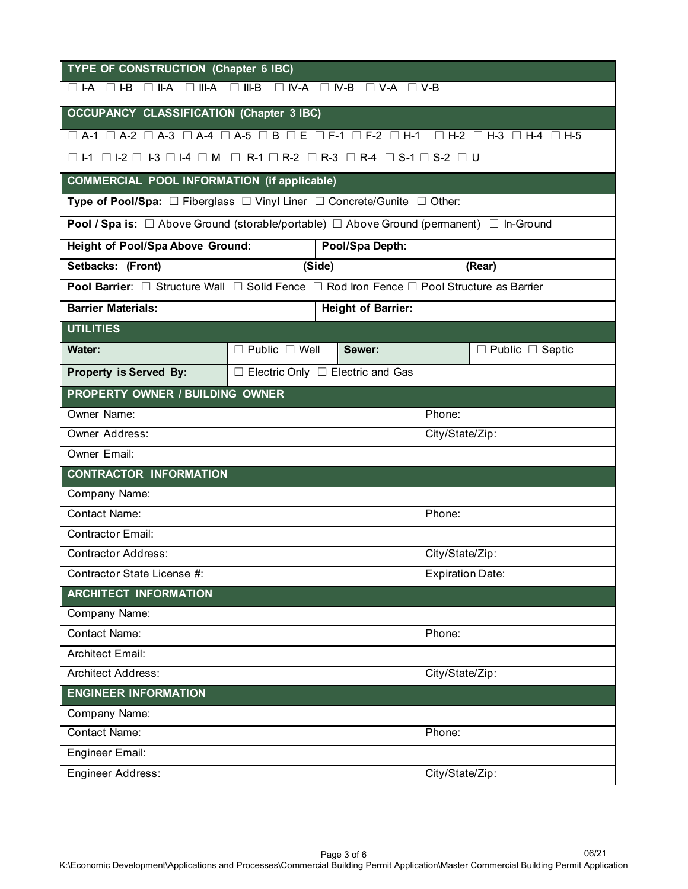| <b>TYPE OF CONSTRUCTION (Chapter 6 IBC)</b>                                                                                     |                                              |        |                           |        |                                             |
|---------------------------------------------------------------------------------------------------------------------------------|----------------------------------------------|--------|---------------------------|--------|---------------------------------------------|
| $\Box$ N-A $\Box$ N-B $\Box$ V-A $\Box$ V-B<br>$\Box$ II-A<br>$\Box$ III-A<br>$\Box$ III-B<br>$\Box$ I-A<br>$\Box$ I-B          |                                              |        |                           |        |                                             |
| <b>OCCUPANCY CLASSIFICATION (Chapter 3 IBC)</b>                                                                                 |                                              |        |                           |        |                                             |
| $\Box$ A-1 $\Box$ A-2 $\Box$ A-3 $\Box$ A-4 $\Box$ A-5 $\Box$ B $\Box$ E $\Box$ F-1 $\Box$ F-2 $\Box$ H-1                       |                                              |        |                           |        | $\Box$ H-2 $\Box$ H-3 $\Box$ H-4 $\Box$ H-5 |
| $\Box$  -1 $\Box$  -2 $\Box$  -3 $\Box$  -4 $\Box$ M $\Box$ R-1 $\Box$ R-2 $\Box$ R-3 $\Box$ R-4 $\Box$ S-1 $\Box$ S-2 $\Box$ U |                                              |        |                           |        |                                             |
| <b>COMMERCIAL POOL INFORMATION (if applicable)</b>                                                                              |                                              |        |                           |        |                                             |
| Type of Pool/Spa: □ Fiberglass □ Vinyl Liner □ Concrete/Gunite □ Other:                                                         |                                              |        |                           |        |                                             |
| <b>Pool / Spa is:</b> $\Box$ Above Ground (storable/portable) $\Box$ Above Ground (permanent) $\Box$ In-Ground                  |                                              |        |                           |        |                                             |
| Height of Pool/Spa Above Ground:                                                                                                |                                              |        | Pool/Spa Depth:           |        |                                             |
| Setbacks: (Front)                                                                                                               |                                              | (Side) |                           |        | (Rear)                                      |
| <b>Pool Barrier</b> : $\Box$ Structure Wall $\Box$ Solid Fence $\Box$ Rod Iron Fence $\Box$ Pool Structure as Barrier           |                                              |        |                           |        |                                             |
| <b>Barrier Materials:</b>                                                                                                       |                                              |        | <b>Height of Barrier:</b> |        |                                             |
| <b>UTILITIES</b>                                                                                                                |                                              |        |                           |        |                                             |
| Water:                                                                                                                          | $\Box$ Public $\Box$ Well                    |        | Sewer:                    |        | $\Box$ Public $\Box$ Septic                 |
| Property is Served By:                                                                                                          | $\Box$ Electric Only $\Box$ Electric and Gas |        |                           |        |                                             |
| <b>PROPERTY OWNER / BUILDING OWNER</b>                                                                                          |                                              |        |                           |        |                                             |
| Owner Name:                                                                                                                     |                                              |        |                           | Phone: |                                             |
| <b>Owner Address:</b>                                                                                                           | City/State/Zip:                              |        |                           |        |                                             |
| <b>Owner Email:</b>                                                                                                             |                                              |        |                           |        |                                             |
| <b>CONTRACTOR INFORMATION</b>                                                                                                   |                                              |        |                           |        |                                             |
| Company Name:                                                                                                                   |                                              |        |                           |        |                                             |
| Contact Name:<br>Phone:                                                                                                         |                                              |        |                           |        |                                             |
| <b>Contractor Email:</b>                                                                                                        |                                              |        |                           |        |                                             |
| City/State/Zip:<br><b>Contractor Address:</b>                                                                                   |                                              |        |                           |        |                                             |
| Contractor State License #:<br><b>Expiration Date:</b>                                                                          |                                              |        |                           |        |                                             |
| <b>ARCHITECT INFORMATION</b>                                                                                                    |                                              |        |                           |        |                                             |
| Company Name:                                                                                                                   |                                              |        |                           |        |                                             |
| <b>Contact Name:</b><br>Phone:                                                                                                  |                                              |        |                           |        |                                             |
| <b>Architect Email:</b>                                                                                                         |                                              |        |                           |        |                                             |
| <b>Architect Address:</b><br>City/State/Zip:                                                                                    |                                              |        |                           |        |                                             |
| <b>ENGINEER INFORMATION</b>                                                                                                     |                                              |        |                           |        |                                             |
| Company Name:                                                                                                                   |                                              |        |                           |        |                                             |
| <b>Contact Name:</b><br>Phone:                                                                                                  |                                              |        |                           |        |                                             |
| <b>Engineer Email:</b>                                                                                                          |                                              |        |                           |        |                                             |
| Engineer Address:<br>City/State/Zip:                                                                                            |                                              |        |                           |        |                                             |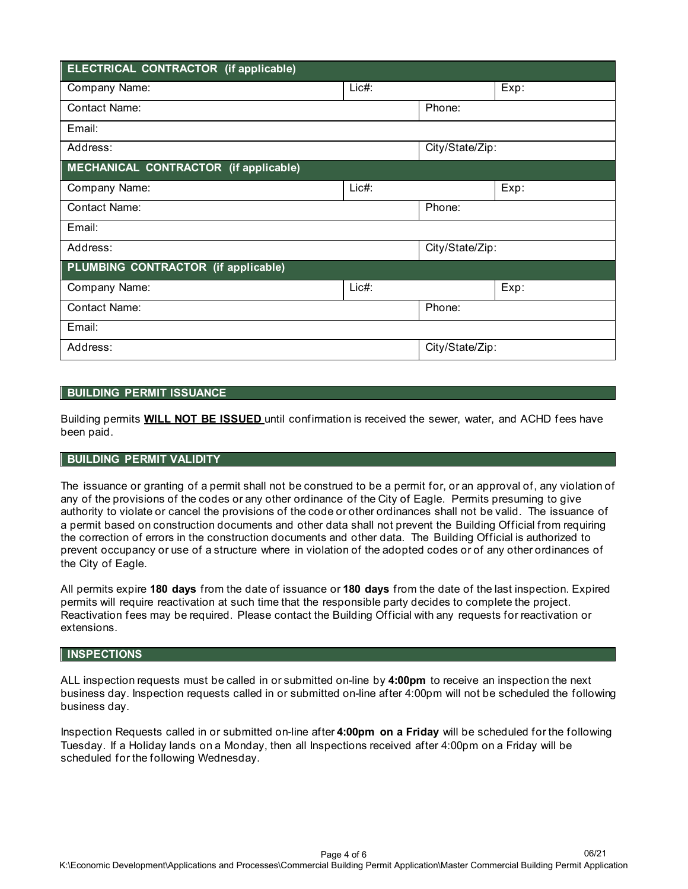| <b>ELECTRICAL CONTRACTOR (if applicable)</b> |          |                 |                 |  |  |
|----------------------------------------------|----------|-----------------|-----------------|--|--|
| Company Name:                                | $Lie#$ : |                 | Exp:            |  |  |
| <b>Contact Name:</b>                         |          | Phone:          |                 |  |  |
| Email:                                       |          |                 |                 |  |  |
| Address:                                     |          |                 | City/State/Zip: |  |  |
| MECHANICAL CONTRACTOR (if applicable)        |          |                 |                 |  |  |
| Company Name:                                | $Lie#$ : |                 | Exp:            |  |  |
| <b>Contact Name:</b>                         |          | Phone:          |                 |  |  |
| Email:                                       |          |                 |                 |  |  |
| Address:                                     |          | City/State/Zip: |                 |  |  |
| PLUMBING CONTRACTOR (if applicable)          |          |                 |                 |  |  |
| Company Name:                                | $Lie#$ : |                 | Exp:            |  |  |
| <b>Contact Name:</b>                         |          | Phone:          |                 |  |  |
| Email:                                       |          |                 |                 |  |  |
| Address:                                     |          | City/State/Zip: |                 |  |  |

## **BUILDING PERMIT ISSUANCE**

Building permits **WILL NOT BE ISSUED** until confirmation is received the sewer, water, and ACHD fees have been paid.

## **BUILDING PERMIT VALIDITY**

The issuance or granting of a permit shall not be construed to be a permit for, or an approval of, any violation of any of the provisions of the codes or any other ordinance of the City of Eagle. Permits presuming to give authority to violate or cancel the provisions of the code or other ordinances shall not be valid. The issuance of a permit based on construction documents and other data shall not prevent the Building Official from requiring the correction of errors in the construction documents and other data. The Building Official is authorized to prevent occupancy or use of a structure where in violation of the adopted codes or of any other ordinances of the City of Eagle.

All permits expire **180 days** from the date of issuance or **180 days** from the date of the last inspection. Expired permits will require reactivation at such time that the responsible party decides to complete the project. Reactivation fees may be required. Please contact the Building Official with any requests for reactivation or extensions.

# **INSPECTIONS**

ALL inspection requests must be called in or submitted on-line by **4:00pm** to receive an inspection the next business day. Inspection requests called in or submitted on-line after 4:00pm will not be scheduled the following business day.

Inspection Requests called in or submitted on-line after **4:00pm on a Friday** will be scheduled for the following Tuesday. If a Holiday lands on a Monday, then all Inspections received after 4:00pm on a Friday will be scheduled for the following Wednesday.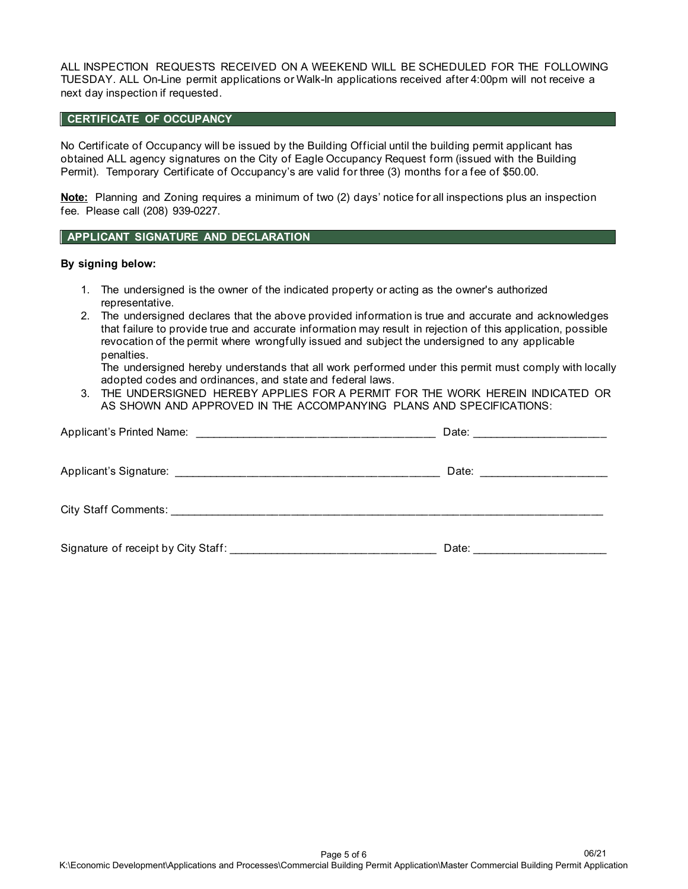ALL INSPECTION REQUESTS RECEIVED ON A WEEKEND WILL BE SCHEDULED FOR THE FOLLOWING TUESDAY. ALL On-Line permit applications or Walk-In applications received after 4:00pm will not receive a next day inspection if requested.

# **CERTIFICATE OF OCCUPANCY**

No Certificate of Occupancy will be issued by the Building Official until the building permit applicant has obtained ALL agency signatures on the City of Eagle Occupancy Request form (issued with the Building Permit). Temporary Certificate of Occupancy's are valid for three (3) months for a fee of \$50.00.

**Note:** Planning and Zoning requires a minimum of two (2) days' notice for all inspections plus an inspection fee. Please call (208) 939-0227.

## **APPLICANT SIGNATURE AND DECLARATION**

#### **By signing below:**

- 1. The undersigned is the owner of the indicated property or acting as the owner's authorized representative.
- 2. The undersigned declares that the above provided information is true and accurate and acknowledges that failure to provide true and accurate information may result in rejection of this application, possible revocation of the permit where wrongfully issued and subject the undersigned to any applicable penalties.

The undersigned hereby understands that all work performed under this permit must comply with locally adopted codes and ordinances, and state and federal laws.

3. THE UNDERSIGNED HEREBY APPLIES FOR A PERMIT FOR THE WORK HEREIN INDICATED OR AS SHOWN AND APPROVED IN THE ACCOMPANYING PLANS AND SPECIFICATIONS:

|                                                                         | Date: <u>__________________</u> |
|-------------------------------------------------------------------------|---------------------------------|
|                                                                         |                                 |
| Signature of receipt by City Staff: Signature of receipt by City Staff: | Date:                           |